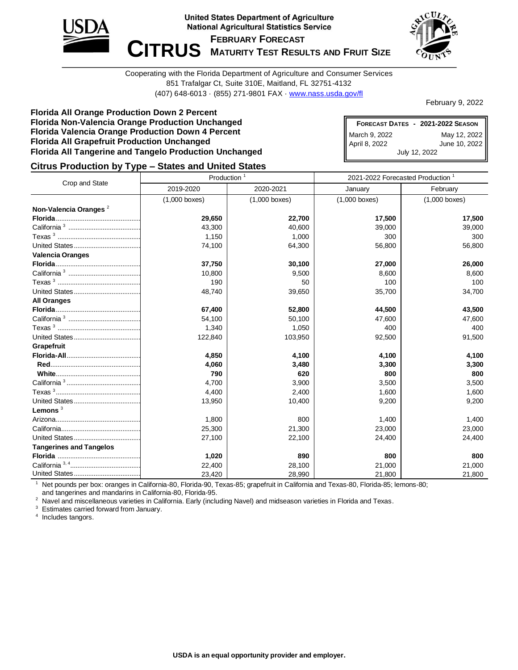

**United States Department of Agriculture National Agricultural Statistics Service** 

**FEBRUARY FORECAST**

 $\blacksquare$  **CITRUS** MATURITY TEST RESULTS AND FRUIT SIZE



Cooperating with the Florida Department of Agriculture and Consumer Services 851 Trafalgar Ct, Suite 310E, Maitland, FL 32751-4132 (407) 648-6013 · (855) 271-9801 FAX · [www.nass.usda.gov/fl](http://www.nass.usda.gov/fl)

February 9, 2022

#### **Florida All Orange Production Down 2 Percent Florida Non-Valencia Orange Production Unchanged Florida Valencia Orange Production Down 4 Percent Florida All Grapefruit Production Unchanged Florida All Tangerine and Tangelo Production Unchanged**

**FORECAST DATES - 2021-2022 SEASON** March 9, 2022 May 12, 2022 April 8, 2022 June 10, 2022 July 12, 2022

## **Citrus Production by Type – States and United States**

|                                   | Production      |                 | 2021-2022 Forecasted Production <sup>1</sup> |                 |  |  |
|-----------------------------------|-----------------|-----------------|----------------------------------------------|-----------------|--|--|
| Crop and State                    | 2019-2020       | 2020-2021       | January                                      | February        |  |  |
|                                   | $(1,000$ boxes) | $(1,000$ boxes) | $(1,000$ boxes)                              | $(1,000$ boxes) |  |  |
| Non-Valencia Oranges <sup>2</sup> |                 |                 |                                              |                 |  |  |
|                                   | 29,650          | 22,700          | 17,500                                       | 17,500          |  |  |
|                                   | 43,300          | 40,600          | 39,000                                       | 39,000          |  |  |
|                                   | 1,150           | 1,000           | 300                                          | 300             |  |  |
|                                   | 74,100          | 64,300          | 56,800                                       | 56,800          |  |  |
| <b>Valencia Oranges</b>           |                 |                 |                                              |                 |  |  |
|                                   | 37,750          | 30,100          | 27,000                                       | 26,000          |  |  |
|                                   | 10,800          | 9,500           | 8,600                                        | 8,600           |  |  |
|                                   | 190             | 50              | 100                                          | 100             |  |  |
|                                   | 48,740          | 39,650          | 35,700                                       | 34,700          |  |  |
| <b>All Oranges</b>                |                 |                 |                                              |                 |  |  |
|                                   | 67,400          | 52,800          | 44,500                                       | 43,500          |  |  |
|                                   | 54,100          | 50,100          | 47,600                                       | 47,600          |  |  |
|                                   | 1,340           | 1,050           | 400                                          | 400             |  |  |
|                                   | 122,840         | 103,950         | 92,500                                       | 91,500          |  |  |
| Grapefruit                        |                 |                 |                                              |                 |  |  |
|                                   | 4,850           | 4,100           | 4,100                                        | 4,100           |  |  |
|                                   | 4,060           | 3,480           | 3,300                                        | 3,300           |  |  |
|                                   | 790             | 620             | 800                                          | 800             |  |  |
|                                   | 4,700           | 3,900           | 3,500                                        | 3,500           |  |  |
|                                   | 4,400           | 2,400           | 1,600                                        | 1,600           |  |  |
|                                   | 13,950          | 10,400          | 9,200                                        | 9,200           |  |  |
| Lemons $3$                        |                 |                 |                                              |                 |  |  |
|                                   | 1,800           | 800             | 1,400                                        | 1,400           |  |  |
|                                   | 25,300          | 21,300          | 23,000                                       | 23,000          |  |  |
|                                   | 27,100          | 22,100          | 24,400                                       | 24,400          |  |  |
| <b>Tangerines and Tangelos</b>    |                 |                 |                                              |                 |  |  |
|                                   | 1,020           | 890             | 800                                          | 800             |  |  |
|                                   | 22,400          | 28,100          | 21,000                                       | 21,000          |  |  |
|                                   | 23,420          | 28,990          | 21,800                                       | 21,800          |  |  |

<sup>1</sup> Net pounds per box: oranges in California-80, Florida-90, Texas-85; grapefruit in California and Texas-80, Florida-85; lemons-80; and tangerines and mandarins in California-80, Florida-95.

<sup>2</sup> Navel and miscellaneous varieties in California. Early (including Navel) and midseason varieties in Florida and Texas.

<sup>3</sup> Estimates carried forward from January.

<sup>4</sup> Includes tangors.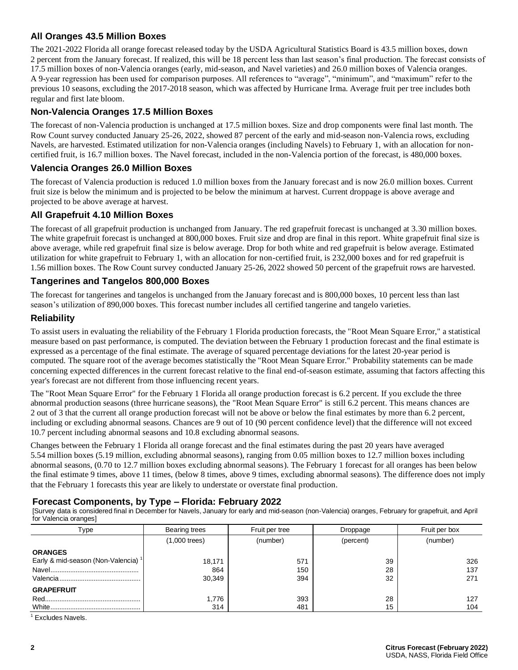# **All Oranges 43.5 Million Boxes**

The 2021-2022 Florida all orange forecast released today by the USDA Agricultural Statistics Board is 43.5 million boxes, down 2 percent from the January forecast. If realized, this will be 18 percent less than last season's final production. The forecast consists of 17.5 million boxes of non-Valencia oranges (early, mid-season, and Navel varieties) and 26.0 million boxes of Valencia oranges. A 9-year regression has been used for comparison purposes. All references to "average", "minimum", and "maximum" refer to the previous 10 seasons, excluding the 2017-2018 season, which was affected by Hurricane Irma. Average fruit per tree includes both regular and first late bloom.

# **Non-Valencia Oranges 17.5 Million Boxes**

The forecast of non-Valencia production is unchanged at 17.5 million boxes. Size and drop components were final last month. The Row Count survey conducted January 25-26, 2022, showed 87 percent of the early and mid-season non-Valencia rows, excluding Navels, are harvested. Estimated utilization for non-Valencia oranges (including Navels) to February 1, with an allocation for noncertified fruit, is 16.7 million boxes. The Navel forecast, included in the non-Valencia portion of the forecast, is 480,000 boxes.

## **Valencia Oranges 26.0 Million Boxes**

The forecast of Valencia production is reduced 1.0 million boxes from the January forecast and is now 26.0 million boxes. Current fruit size is below the minimum and is projected to be below the minimum at harvest. Current droppage is above average and projected to be above average at harvest.

## **All Grapefruit 4.10 Million Boxes**

The forecast of all grapefruit production is unchanged from January. The red grapefruit forecast is unchanged at 3.30 million boxes. The white grapefruit forecast is unchanged at 800,000 boxes. Fruit size and drop are final in this report. White grapefruit final size is above average, while red grapefruit final size is below average. Drop for both white and red grapefruit is below average. Estimated utilization for white grapefruit to February 1, with an allocation for non-certified fruit, is 232,000 boxes and for red grapefruit is 1.56 million boxes. The Row Count survey conducted January 25-26, 2022 showed 50 percent of the grapefruit rows are harvested.

## **Tangerines and Tangelos 800,000 Boxes**

The forecast for tangerines and tangelos is unchanged from the January forecast and is 800,000 boxes, 10 percent less than last season's utilization of 890,000 boxes. This forecast number includes all certified tangerine and tangelo varieties.

## **Reliability**

To assist users in evaluating the reliability of the February 1 Florida production forecasts, the "Root Mean Square Error," a statistical measure based on past performance, is computed. The deviation between the February 1 production forecast and the final estimate is expressed as a percentage of the final estimate. The average of squared percentage deviations for the latest 20-year period is computed. The square root of the average becomes statistically the "Root Mean Square Error." Probability statements can be made concerning expected differences in the current forecast relative to the final end-of-season estimate, assuming that factors affecting this year's forecast are not different from those influencing recent years.

The "Root Mean Square Error" for the February 1 Florida all orange production forecast is 6.2 percent. If you exclude the three abnormal production seasons (three hurricane seasons), the "Root Mean Square Error" is still 6.2 percent. This means chances are 2 out of 3 that the current all orange production forecast will not be above or below the final estimates by more than 6.2 percent, including or excluding abnormal seasons. Chances are 9 out of 10 (90 percent confidence level) that the difference will not exceed 10.7 percent including abnormal seasons and 10.8 excluding abnormal seasons.

Changes between the February 1 Florida all orange forecast and the final estimates during the past 20 years have averaged 5.54 million boxes (5.19 million, excluding abnormal seasons), ranging from 0.05 million boxes to 12.7 million boxes including abnormal seasons, (0.70 to 12.7 million boxes excluding abnormal seasons). The February 1 forecast for all oranges has been below the final estimate 9 times, above 11 times, (below 8 times, above 9 times, excluding abnormal seasons). The difference does not imply that the February 1 forecasts this year are likely to understate or overstate final production.

#### **Forecast Components, by Type – Florida: February 2022**

[Survey data is considered final in December for Navels, January for early and mid-season (non-Valencia) oranges, February for grapefruit, and April for Valencia oranges]

| Type                                           | Bearing trees   | Fruit per tree | Droppage  | Fruit per box |  |  |
|------------------------------------------------|-----------------|----------------|-----------|---------------|--|--|
|                                                | $(1,000$ trees) | (number)       | (percent) | (number)      |  |  |
| <b>ORANGES</b>                                 |                 |                |           |               |  |  |
| Early & mid-season (Non-Valencia) <sup>1</sup> | 18,171          | 571            | 39        | 326           |  |  |
|                                                | 864             | 150            | 28        | 137           |  |  |
|                                                | 30,349          | 394            | 32        | 271           |  |  |
| <b>GRAPEFRUIT</b>                              |                 |                |           |               |  |  |
|                                                | 1.776           | 393            | 28        | 127           |  |  |
|                                                | 314             | 481            | 15        | 104           |  |  |

 $<sup>1</sup>$  Excludes Navels.</sup>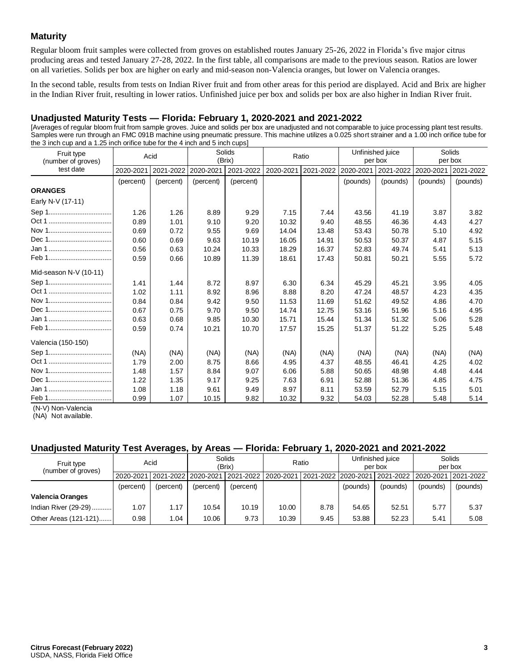# **Maturity**

Regular bloom fruit samples were collected from groves on established routes January 25-26, 2022 in Florida's five major citrus producing areas and tested January 27-28, 2022. In the first table, all comparisons are made to the previous season. Ratios are lower on all varieties. Solids per box are higher on early and mid-season non-Valencia oranges, but lower on Valencia oranges.

In the second table, results from tests on Indian River fruit and from other areas for this period are displayed. Acid and Brix are higher in the Indian River fruit, resulting in lower ratios. Unfinished juice per box and solids per box are also higher in Indian River fruit.

# **Unadjusted Maturity Tests — Florida: February 1, 2020-2021 and 2021-2022**

[Averages of regular bloom fruit from sample groves. Juice and solids per box are unadjusted and not comparable to juice processing plant test results. Samples were run through an FMC 091B machine using pneumatic pressure. This machine utilizes a 0.025 short strainer and a 1.00 inch orifice tube for the 3 inch cup and a 1.25 inch orifice tube for the 4 inch and 5 inch cups]

| Fruit type<br>(number of groves) | Acid      |           | Solids<br>(Brix) |           | Ratio     |           | Unfinished juice<br>per box |           | Solids<br>per box |           |
|----------------------------------|-----------|-----------|------------------|-----------|-----------|-----------|-----------------------------|-----------|-------------------|-----------|
| test date                        | 2020-2021 | 2021-2022 | 2020-2021        | 2021-2022 | 2020-2021 | 2021-2022 | 2020-2021                   | 2021-2022 | 2020-2021         | 2021-2022 |
|                                  | (percent) | (percent) | (percent)        | (percent) |           |           | (pounds)                    | (pounds)  | (pounds)          | (pounds)  |
| <b>ORANGES</b>                   |           |           |                  |           |           |           |                             |           |                   |           |
| Early N-V (17-11)                |           |           |                  |           |           |           |                             |           |                   |           |
|                                  | 1.26      | 1.26      | 8.89             | 9.29      | 7.15      | 7.44      | 43.56                       | 41.19     | 3.87              | 3.82      |
|                                  | 0.89      | 1.01      | 9.10             | 9.20      | 10.32     | 9.40      | 48.55                       | 46.36     | 4.43              | 4.27      |
| Nov 1                            | 0.69      | 0.72      | 9.55             | 9.69      | 14.04     | 13.48     | 53.43                       | 50.78     | 5.10              | 4.92      |
|                                  | 0.60      | 0.69      | 9.63             | 10.19     | 16.05     | 14.91     | 50.53                       | 50.37     | 4.87              | 5.15      |
|                                  | 0.56      | 0.63      | 10.24            | 10.33     | 18.29     | 16.37     | 52.83                       | 49.74     | 5.41              | 5.13      |
|                                  | 0.59      | 0.66      | 10.89            | 11.39     | 18.61     | 17.43     | 50.81                       | 50.21     | 5.55              | 5.72      |
| Mid-season N-V (10-11)           |           |           |                  |           |           |           |                             |           |                   |           |
|                                  | 1.41      | 1.44      | 8.72             | 8.97      | 6.30      | 6.34      | 45.29                       | 45.21     | 3.95              | 4.05      |
|                                  | 1.02      | 1.11      | 8.92             | 8.96      | 8.88      | 8.20      | 47.24                       | 48.57     | 4.23              | 4.35      |
|                                  | 0.84      | 0.84      | 9.42             | 9.50      | 11.53     | 11.69     | 51.62                       | 49.52     | 4.86              | 4.70      |
|                                  | 0.67      | 0.75      | 9.70             | 9.50      | 14.74     | 12.75     | 53.16                       | 51.96     | 5.16              | 4.95      |
|                                  | 0.63      | 0.68      | 9.85             | 10.30     | 15.71     | 15.44     | 51.34                       | 51.32     | 5.06              | 5.28      |
|                                  | 0.59      | 0.74      | 10.21            | 10.70     | 17.57     | 15.25     | 51.37                       | 51.22     | 5.25              | 5.48      |
| Valencia (150-150)               |           |           |                  |           |           |           |                             |           |                   |           |
|                                  | (NA)      | (NA)      | (NA)             | (NA)      | (NA)      | (NA)      | (NA)                        | (NA)      | (NA)              | (NA)      |
|                                  | 1.79      | 2.00      | 8.75             | 8.66      | 4.95      | 4.37      | 48.55                       | 46.41     | 4.25              | 4.02      |
|                                  | 1.48      | 1.57      | 8.84             | 9.07      | 6.06      | 5.88      | 50.65                       | 48.98     | 4.48              | 4.44      |
|                                  | 1.22      | 1.35      | 9.17             | 9.25      | 7.63      | 6.91      | 52.88                       | 51.36     | 4.85              | 4.75      |
|                                  | 1.08      | 1.18      | 9.61             | 9.49      | 8.97      | 8.11      | 53.59                       | 52.79     | 5.15              | 5.01      |
|                                  | 0.99      | 1.07      | 10.15            | 9.82      | 10.32     | 9.32      | 54.03                       | 52.28     | 5.48              | 5.14      |

(N-V) Non-Valencia

(NA) Not available.

#### **Unadjusted Maturity Test Averages, by Areas — Florida: February 1, 2020-2021 and 2021-2022**

|                                  |           | . .                               |                  |                      |       |                       |                             |                       |                   |           |
|----------------------------------|-----------|-----------------------------------|------------------|----------------------|-------|-----------------------|-----------------------------|-----------------------|-------------------|-----------|
| Fruit type<br>(number of groves) | Acid      |                                   | Solids<br>(Brix) |                      | Ratio |                       | Unfinished juice<br>per box |                       | Solids<br>per box |           |
|                                  |           | 2020-2021   2021-2022   2020-2021 |                  | 12021-202212020-2021 |       | 2021-2022   2020-2021 |                             | 2021-2022   2020-2021 |                   | 2021-2022 |
|                                  | (percent) | (percent)                         | (percent)        | (percent)            |       |                       | (pounds)                    | (pounds)              | (pounds)          | (pounds)  |
| <b>Valencia Oranges</b>          |           |                                   |                  |                      |       |                       |                             |                       |                   |           |
| Indian River (29-29)             | 1.07      | 1.17                              | 10.54            | 10.19                | 10.00 | 8.78                  | 54.65                       | 52.51                 | 5.77              | 5.37      |
| Other Areas (121-121)            | 0.98      | 1.04                              | 10.06            | 9.73                 | 10.39 | 9.45                  | 53.88                       | 52.23                 | 5.41              | 5.08      |